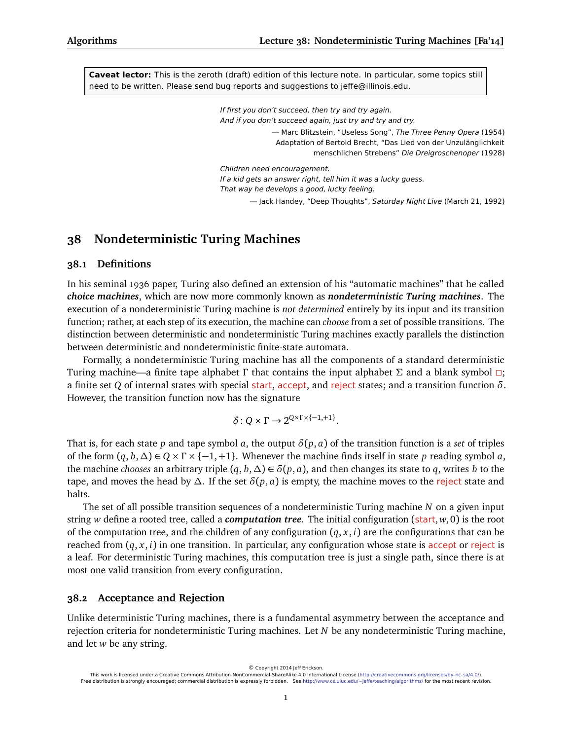**Caveat lector:** This is the zeroth (draft) edition of this lecture note. In particular, some topics still need to be written. Please send bug reports and suggestions to jeffe@illinois.edu.

> If first you don't succeed, then try and try again. And if you don't succeed again, just try and try and try.

> > — Marc Blitzstein, "Useless Song", The Three Penny Opera (1954) Adaptation of Bertold Brecht, "Das Lied von der Unzulänglichkeit menschlichen Strebens" Die Dreigroschenoper (1928)

Children need encouragement. If a kid gets an answer right, tell him it was a lucky guess. That way he develops a good, lucky feeling. — Jack Handey, "Deep Thoughts", Saturday Night Live (March 21, 1992)

# **38 Nondeterministic Turing Machines**

### **38.1 Definitions**

In his seminal 1936 paper, Turing also defined an extension of his "automatic machines" that he called *choice machines*, which are now more commonly known as *nondeterministic Turing machines*. The execution of a nondeterministic Turing machine is *not determined* entirely by its input and its transition function; rather, at each step of its execution, the machine can *choose* from a set of possible transitions. The distinction between deterministic and nondeterministic Turing machines exactly parallels the distinction between deterministic and nondeterministic finite-state automata.

Formally, a nondeterministic Turing machine has all the components of a standard deterministic Turing machine—a finite tape alphabet *Γ* that contains the input alphabet *Σ* and a blank symbol ; a finite set *Q* of internal states with special start, accept, and reject states; and a transition function *δ*. However, the transition function now has the signature

$$
\delta: Q \times \Gamma \to 2^{Q \times \Gamma \times \{-1, +1\}}.
$$

That is, for each state *p* and tape symbol *a*, the output  $\delta(p, a)$  of the transition function is a *set* of triples of the form  $(q, b, \Delta) \in Q \times \Gamma \times \{-1, +1\}$ . Whenever the machine finds itself in state *p* reading symbol *a*, the machine *chooses* an arbitrary triple  $(q, b, \Delta) \in \delta(p, a)$ , and then changes its state to *q*, writes *b* to the tape, and moves the head by  $\Delta$ . If the set  $\delta(p, a)$  is empty, the machine moves to the reject state and halts.

The set of all possible transition sequences of a nondeterministic Turing machine *N* on a given input string *w* define a rooted tree, called a *computation tree*. The initial configuration (start, *w*, 0) is the root of the computation tree, and the children of any configuration  $(q, x, i)$  are the configurations that can be reached from  $(q, x, i)$  in one transition. In particular, any configuration whose state is accept or reject is a leaf. For deterministic Turing machines, this computation tree is just a single path, since there is at most one valid transition from every configuration.

#### **38.2 Acceptance and Rejection**

Unlike deterministic Turing machines, there is a fundamental asymmetry between the acceptance and rejection criteria for nondeterministic Turing machines. Let *N* be any nondeterministic Turing machine, and let *w* be any string.

© Copyright 2014 Jeff Erickson.

This work is licensed under a Creative Commons Attribution-NonCommercial-ShareAlike 4.0 International License [\(http://creativecommons.org/licenses/by-nc-sa/4.0/\)](http://creativecommons.org/licenses/by-nc-sa/4.0/). Free distribution is strongly encouraged; commercial distribution is expressly forbidden. See <http://www.cs.uiuc.edu/~jeffe/teaching/algorithms/> for the most recent revision.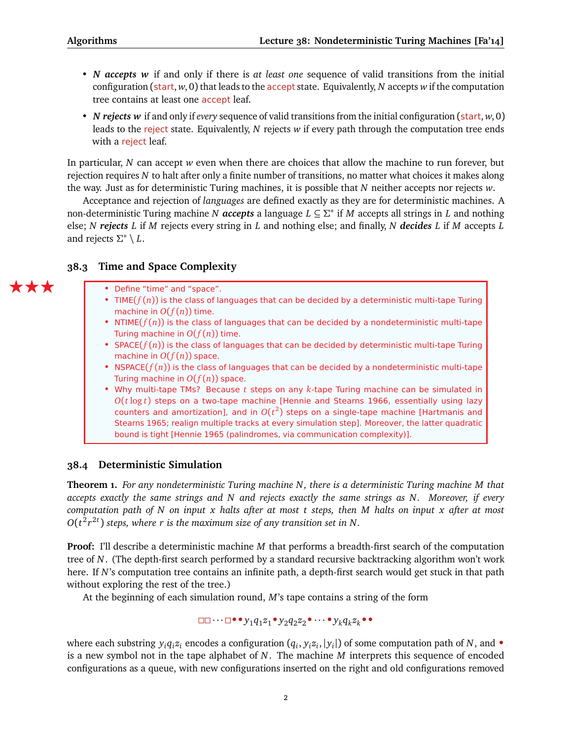- *N accepts w* if and only if there is *at least one* sequence of valid transitions from the initial configuration (start, *w*, 0) that leads to the accept state. Equivalently, *N* accepts *w* if the computation tree contains at least one **accept** leaf.
- *N rejects w* if and only if *every* sequence of valid transitions from the initial configuration (start, *w*, 0) leads to the reject state. Equivalently, *N* rejects *w* if every path through the computation tree ends with a reject leaf.

In particular, *N* can accept *w* even when there are choices that allow the machine to run forever, but rejection requires *N* to halt after only a finite number of transitions, no matter what choices it makes along the way. Just as for deterministic Turing machines, it is possible that *N* neither accepts nor rejects *w*.

Acceptance and rejection of *languages* are defined exactly as they are for deterministic machines. A non-deterministic Turing machine *N accepts* a language *L* ⊆ *Σ* ∗ if *M* accepts all strings in *L* and nothing else; *N rejects L* if *M* rejects every string in *L* and nothing else; and finally, *N decides L* if *M* accepts *L* and rejects *Σ* ∗ \ *L*.

## **38.3 Time and Space Complexity**

- Define "time" and "space".
- TIME( $f(n)$ ) is the class of languages that can be decided by a deterministic multi-tape Turing machine in  $O(f(n))$  time.
- NTIME $(f(n))$  is the class of languages that can be decided by a nondeterministic multi-tape Turing machine in  $O(f(n))$  time.
- SPACE $(f(n))$  is the class of languages that can be decided by deterministic multi-tape Turing machine in *O*(*f* (*n*)) space.
- NSPACE( $f(n)$ ) is the class of languages that can be decided by a nondeterministic multi-tape Turing machine in  $O(f(n))$  space.
- Why multi-tape TMs? Because *t* steps on any *k*-tape Turing machine can be simulated in *O*(*t* log *t*) steps on a two-tape machine [Hennie and Stearns 1966, essentially using lazy counters and amortization], and in  $O(t^2)$  steps on a single-tape machine [Hartmanis and Stearns 1965; realign multiple tracks at every simulation step]. Moreover, the latter quadratic bound is tight [Hennie 1965 (palindromes, via communication complexity)].

## **38.4 Deterministic Simulation**

**Theorem 1.** *For any nondeterministic Turing machine N, there is a deterministic Turing machine M that accepts exactly the same strings and N and rejects exactly the same strings as N. Moreover, if every computation path of N on input x halts after at most t steps, then M halts on input x after at most O*(*t* 2 *r* 2*t* ) *steps, where r is the maximum size of any transition set in N.*

**Proof:** I'll describe a deterministic machine *M* that performs a breadth-first search of the computation tree of *N*. (The depth-first search performed by a standard recursive backtracking algorithm won't work here. If *N*'s computation tree contains an infinite path, a depth-first search would get stuck in that path without exploring the rest of the tree.)

At the beginning of each simulation round, *M*'s tape contains a string of the form

$$
\Box\Box\cdots\Box\bullet\bullet y_1q_1z_1\bullet y_2q_2z_2\bullet\cdots\bullet y_kq_kz_k\bullet\bullet
$$

where each substring  $y_i q_i z_i$  encodes a configuration  $(q_i, y_i z_i, |y_i|)$  of some computation path of *N*, and  $\bullet$ is a new symbol not in the tape alphabet of *N*. The machine *M* interprets this sequence of encoded configurations as a queue, with new configurations inserted on the right and old configurations removed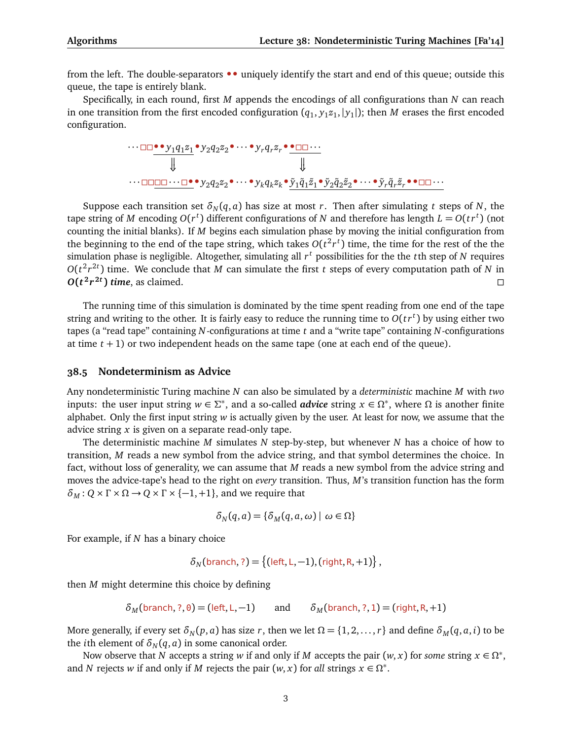from the left. The double-separators **••** uniquely identify the start and end of this queue; outside this queue, the tape is entirely blank.

Specifically, in each round, first *M* appends the encodings of all configurations than *N* can reach in one transition from the first encoded configuration  $(q_1, y_1z_1, |y_1|)$ ; then *M* erases the first encoded configuration.

$$
\dots \square \square \bullet \bullet y_1 q_1 z_1 \bullet y_2 q_2 z_2 \bullet \cdots \bullet y_r q_r z_r \bullet \bullet \square \square \cdots
$$
\n
$$
\Downarrow \qquad \qquad \Downarrow
$$
\n
$$
\dots \square \square \square \square \cdots \square \bullet \bullet y_2 q_2 z_2 \bullet \cdots \bullet y_k q_k z_k \bullet \tilde{y}_1 \tilde{q}_1 \tilde{z}_1 \bullet \tilde{y}_2 \tilde{q}_2 \tilde{z}_2 \bullet \cdots \bullet \tilde{y}_r \tilde{q}_r \tilde{z}_r \bullet \bullet \square \square \cdots
$$

Suppose each transition set  $\delta_N(q, a)$  has size at most *r*. Then after simulating *t* steps of *N*, the tape string of  $M$  encoding  $O(r^t)$  different configurations of  $N$  and therefore has length  $L = O(tr^t)$  (not counting the initial blanks). If *M* begins each simulation phase by moving the initial configuration from the beginning to the end of the tape string, which takes  $O(t^2 r^t)$  time, the time for the rest of the the simulation phase is negligible. Altogether, simulating all *r <sup>t</sup>* possibilities for the the *t*th step of *N* requires  $O(t^2r^{2t})$  time. We conclude that *M* can simulate the first *t* steps of every computation path of *N* in  $O(t^2 r^{2t})$  time, as claimed.

The running time of this simulation is dominated by the time spent reading from one end of the tape string and writing to the other. It is fairly easy to reduce the running time to  $O(tr^t)$  by using either two tapes (a "read tape" containing *N*-configurations at time *t* and a "write tape" containing *N*-configurations at time *t* + 1) or two independent heads on the same tape (one at each end of the queue).

#### **38.5 Nondeterminism as Advice**

Any nondeterministic Turing machine *N* can also be simulated by a *deterministic* machine *M* with *two* inputs: the user input string  $w \in \Sigma^*$ , and a so-called *advice* string  $x \in \Omega^*$ , where  $\Omega$  is another finite alphabet. Only the first input string *w* is actually given by the user. At least for now, we assume that the advice string *x* is given on a separate read-only tape.

The deterministic machine *M* simulates *N* step-by-step, but whenever *N* has a choice of how to transition, *M* reads a new symbol from the advice string, and that symbol determines the choice. In fact, without loss of generality, we can assume that *M* reads a new symbol from the advice string and moves the advice-tape's head to the right on *every* transition. Thus, *M*'s transition function has the form  $\delta_M$ :  $Q \times \Gamma \times \Omega \rightarrow Q \times \Gamma \times \{-1, +1\}$ , and we require that

$$
\delta_N(q,a) = \{\delta_M(q,a,\omega) \mid \omega \in \Omega\}
$$

For example, if *N* has a binary choice

$$
\delta_N(\text{branch},?) = \{(\text{left}, \text{L}, -1), (\text{right}, \text{R}, +1)\},
$$

then *M* might determine this choice by defining

$$
\delta_M(\text{branch},?,\theta) = (\text{left},\text{L},-1) \qquad \text{and} \qquad \delta_M(\text{branch},?,1) = (\text{right},\text{R},+1)
$$

More generally, if every set  $\delta_N(p, a)$  has size *r*, then we let  $\Omega = \{1, 2, ..., r\}$  and define  $\delta_M(q, a, i)$  to be the *i*th element of  $\delta_N(q, a)$  in some canonical order.

Now observe that *N* accepts a string *w* if and only if *M* accepts the pair  $(w, x)$  for *some* string  $x \in \Omega^*$ , and *N* rejects *w* if and only if *M* rejects the pair  $(w, x)$  for *all* strings  $x \in \Omega^*$ .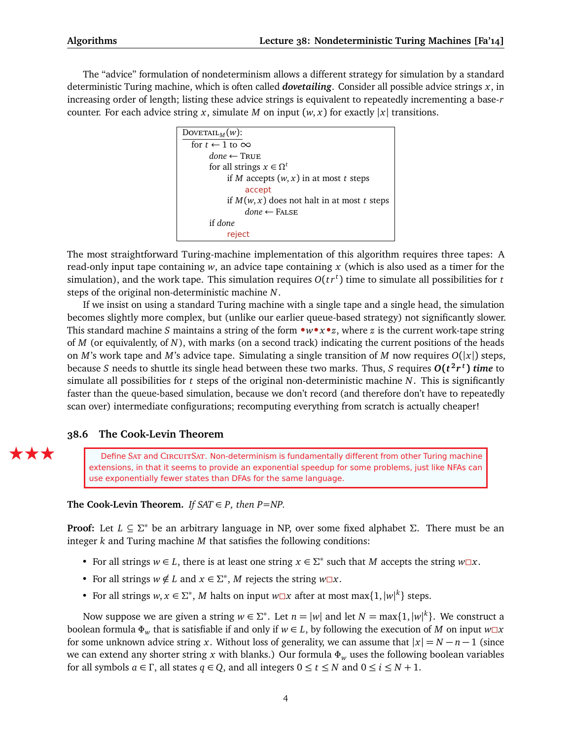The "advice" formulation of nondeterminism allows a different strategy for simulation by a standard deterministic Turing machine, which is often called *dovetailing*. Consider all possible advice strings *x*, in increasing order of length; listing these advice strings is equivalent to repeatedly incrementing a base-*r* counter. For each advice string *x*, simulate *M* on input  $(w, x)$  for exactly  $|x|$  transitions.



The most straightforward Turing-machine implementation of this algorithm requires three tapes: A read-only input tape containing *w*, an advice tape containing *x* (which is also used as a timer for the simulation), and the work tape. This simulation requires *O*(*t r<sup>t</sup>* ) time to simulate all possibilities for *t* steps of the original non-deterministic machine *N*.

If we insist on using a standard Turing machine with a single tape and a single head, the simulation becomes slightly more complex, but (unlike our earlier queue-based strategy) not significantly slower. This standard machine *S* maintains a string of the form **•***w***•***x***•***z*, where *z* is the current work-tape string of *M* (or equivalently, of *N*), with marks (on a second track) indicating the current positions of the heads on *M*'s work tape and *M*'s advice tape. Simulating a single transition of *M* now requires *O*(|*x*|) steps, because *S* needs to shuttle its single head between these two marks. Thus, *S* requires *O***(***t* **2** *r t* **)** *time* to simulate all possibilities for *t* steps of the original non-deterministic machine *N*. This is significantly faster than the queue-based simulation, because we don't record (and therefore don't have to repeatedly scan over) intermediate configurations; recomputing everything from scratch is actually cheaper!

#### **38.6 The Cook-Levin Theorem**

**EXECU** Define SAT and CIRCUITSAT. Non-determinism is fundamentally different from other Turing machine extensions, in that it seems to provide an exponential speedup for some problems, just like NFAs can use exponentially fewer states than DFAs for the same language.

#### **The Cook-Levin Theorem.** *If*  $SAT \in P$ *, then*  $P = NP$ .

**Proof:** Let *L* ⊆ *Σ* <sup>∗</sup> be an arbitrary language in NP, over some fixed alphabet *Σ*. There must be an integer *k* and Turing machine *M* that satisfies the following conditions:

- For all strings  $w \in L$ , there is at least one string  $x \in \Sigma^*$  such that *M* accepts the string  $w \square x$ .
- For all strings  $w \notin L$  and  $x \in \Sigma^*$ , *M* rejects the string  $w \square x$ .
- For all strings  $w, x \in \Sigma^*$ , *M* halts on input  $w \square x$  after at most max $\{1, |w|^k\}$  steps.

Now suppose we are given a string  $w \in \Sigma^*$ . Let  $n = |w|$  and let  $N = \max\{1, |w|^k\}$ . We construct a boolean formula  $\Phi_w$  that is satisfiable if and only if  $w \in L$ , by following the execution of *M* on input  $w \Box x$ for some unknown advice string *x*. Without loss of generality, we can assume that  $|x| = N - n - 1$  (since we can extend any shorter string *x* with blanks.) Our formula *Φ<sup>w</sup>* uses the following boolean variables for all symbols  $a \in \Gamma$ , all states  $q \in Q$ , and all integers  $0 \le t \le N$  and  $0 \le i \le N + 1$ .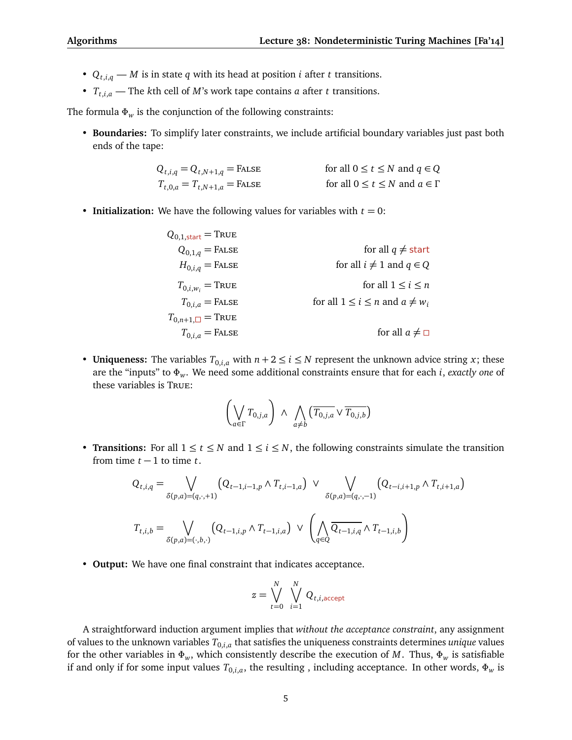- $Q_{t,i,q}$  *M* is in state *q* with its head at position *i* after *t* transitions.
- $T_{t,i,a}$  The *k*th cell of *M*'s work tape contains *a* after *t* transitions.

The formula  $\Phi_w$  is the conjunction of the following constraints:

• **Boundaries:** To simplify later constraints, we include artificial boundary variables just past both ends of the tape:

$$
Q_{t,i,q} = Q_{t,N+1,q} = \text{FALSE} \qquad \text{for all } 0 \le t \le N \text{ and } q \in Q
$$
  

$$
T_{t,0,a} = T_{t,N+1,a} = \text{FALSE} \qquad \text{for all } 0 \le t \le N \text{ and } a \in \Gamma
$$

• **Initialization:** We have the following values for variables with  $t = 0$ :

| $Q_{0,1,\text{start}} = \text{TRUE}$ |                                          |
|--------------------------------------|------------------------------------------|
| $Q_{0,1,q} =$ FALSE                  | for all $q \neq$ start                   |
| $H_{0,i,q} =$ FALSE                  | for all $i \neq 1$ and $q \in Q$         |
| $T_{0,i,w_i}$ = True                 | for all $1 \le i \le n$                  |
| $T_{0,i,a}$ = FALSE                  | for all $1 \le i \le n$ and $a \neq w_i$ |
| $T_{0,n+1,\square}$ = True           |                                          |
| $T_{0,i,a}$ = False                  | for all $a \neq \square$                 |

• **Uniqueness:** The variables  $T_{0,i,a}$  with  $n+2 \leq i \leq N$  represent the unknown advice string *x*; these are the "inputs" to *Φw*. We need some additional constraints ensure that for each *i*, *exactly one* of these variables is True:

$$
\left(\bigvee_{a\in\Gamma}T_{0,j,a}\right)\ \wedge\ \bigwedge_{a\neq b}\left(\overline{T_{0,j,a}}\vee\overline{T_{0,j,b}}\right)
$$

• **Transitions:** For all  $1 \le t \le N$  and  $1 \le i \le N$ , the following constraints simulate the transition from time  $t - 1$  to time  $t$ .

$$
Q_{t,i,q} = \bigvee_{\delta(p,a)=(q,\cdot,+1)} (Q_{t-1,i-1,p} \wedge T_{t,i-1,a}) \vee \bigvee_{\delta(p,a)=(q,\cdot,-1)} (Q_{t-i,i+1,p} \wedge T_{t,i+1,a})
$$
  

$$
T_{t,i,b} = \bigvee_{\delta(p,a)=(\cdot,b,\cdot)} (Q_{t-1,i,p} \wedge T_{t-1,i,a}) \vee \left(\bigwedge_{q \in Q} \overline{Q_{t-1,i,q}} \wedge T_{t-1,i,b}\right)
$$

• **Output:** We have one final constraint that indicates acceptance.

$$
z = \bigvee_{t=0}^{N} \bigvee_{i=1}^{N} Q_{t,i,\text{accept}}
$$

A straightforward induction argument implies that *without the acceptance constraint*, any assignment of values to the unknown variables  $T_{0,i,a}$  that satisfies the uniqueness constraints determines *unique* values for the other variables in  $\Phi_w$ , which consistently describe the execution of *M*. Thus,  $\Phi_w$  is satisfiable if and only if for some input values  $T_{0,i,a}$ , the resulting , including acceptance. In other words,  $\Phi_w$  is